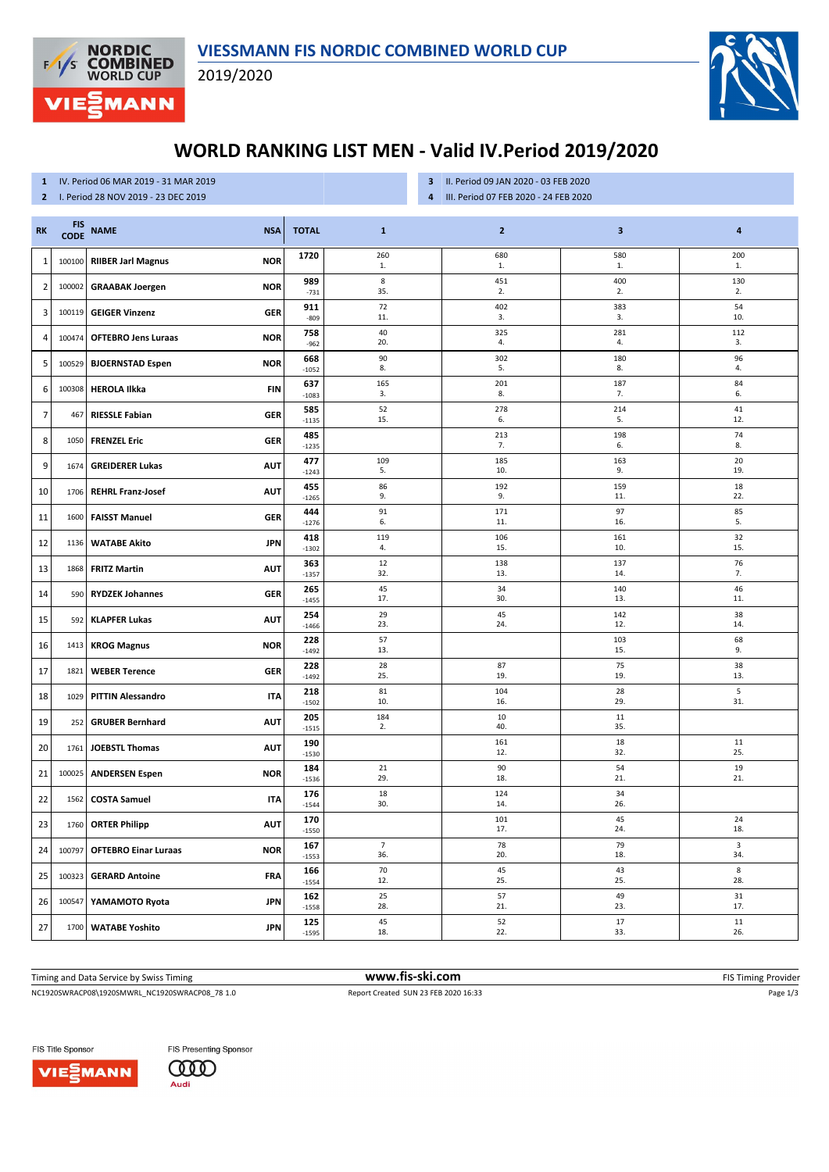

2019/2020



## **WORLD RANKING LIST MEN - Valid IV.Period 2019/2020**

## **1** IV. Period 06 MAR 2019 - 31 MAR 2019

**2** I. Period 28 NOV 2019 - 23 DEC 2019

- **3** II. Period 09 JAN 2020 03 FEB 2020
- **4** III. Period 07 FEB 2020 24 FEB 2020

| <b>RK</b>      | <b>FIS</b><br><b>CODE</b> | <b>NAME</b><br><b>NSA</b>                 | <b>TOTAL</b>   | $\mathbf{1}$   | $\mathbf{2}$ | $\mathbf 3$         | 4                  |
|----------------|---------------------------|-------------------------------------------|----------------|----------------|--------------|---------------------|--------------------|
| $1\,$          | 100100                    | <b>RIIBER Jarl Magnus</b><br><b>NOR</b>   | 1720           | 260<br>1.      | 680<br>1.    | 580<br>$\mathbf{1}$ | 200<br>1.          |
| $\overline{2}$ | 100002                    | <b>GRAABAK Joergen</b><br><b>NOR</b>      | 989<br>$-731$  | $\bf8$<br>35.  | 451<br>2.    | 400<br>2.           | 130<br>2.          |
| 3              | 100119                    | <b>GEIGER Vinzenz</b><br>GER              | 911<br>$-809$  | 72<br>11.      | 402<br>3.    | 383<br>3.           | 54<br>10.          |
| 4              | 100474                    | <b>OFTEBRO Jens Luraas</b><br><b>NOR</b>  | 758<br>$-962$  | 40<br>20.      | 325<br>4.    | 281<br>4.           | 112<br>3.          |
| 5              | 100529                    | <b>BJOERNSTAD Espen</b><br><b>NOR</b>     | 668<br>$-1052$ | 90<br>8.       | 302<br>5.    | 180<br>8.           | 96<br>4.           |
| 6              | 100308                    | <b>HEROLA Ilkka</b><br><b>FIN</b>         | 637<br>$-1083$ | 165<br>3.      | 201<br>8.    | 187<br>7.           | 84<br>6.           |
| $\overline{7}$ | 467                       | <b>RIESSLE Fabian</b><br><b>GER</b>       | 585<br>$-1135$ | 52<br>15.      | 278<br>6.    | 214<br>5.           | 41<br>12.          |
| 8              | 1050                      | <b>FRENZEL Eric</b><br><b>GER</b>         | 485<br>$-1235$ |                | 213<br>7.    | 198<br>6.           | 74<br>8.           |
| 9              | 1674                      | <b>GREIDERER Lukas</b><br><b>AUT</b>      | 477<br>$-1243$ | 109<br>5.      | 185<br>10.   | 163<br>9.           | 20<br>19.          |
| 10             | 1706                      | <b>REHRL Franz-Josef</b><br><b>AUT</b>    | 455<br>$-1265$ | 86<br>9.       | 192<br>9.    | 159<br>11.          | 18<br>22.          |
| 11             | 1600                      | <b>FAISST Manuel</b><br>GER               | 444<br>$-1276$ | 91<br>6.       | 171<br>11.   | 97<br>16.           | 85<br>5.           |
| 12             | 1136                      | <b>WATABE Akito</b><br><b>JPN</b>         | 418<br>$-1302$ | 119<br>4.      | 106<br>15.   | 161<br>10.          | 32<br>15.          |
| 13             | 1868                      | <b>FRITZ Martin</b><br><b>AUT</b>         | 363            | 12<br>32.      | 138<br>13.   | 137<br>14.          | 76<br>7.           |
| 14             | 590                       | <b>RYDZEK Johannes</b><br>GER             | $-1357$<br>265 | 45<br>17.      | 34<br>30.    | 140<br>13.          | 46<br>11.          |
| 15             | 592                       | <b>KLAPFER Lukas</b><br><b>AUT</b>        | $-1455$<br>254 | 29<br>23.      | 45<br>24.    | 142<br>12.          | 38<br>14.          |
| 16             | 1413                      | <b>NOR</b><br><b>KROG Magnus</b>          | $-1466$<br>228 | 57<br>13.      |              | 103<br>15.          | 68<br>9.           |
| 17             | 1821                      | <b>WEBER Terence</b><br>GER               | $-1492$<br>228 | 28<br>25.      | 87<br>19.    | 75<br>19.           | 38<br>13.          |
| 18             | 1029                      | <b>PITTIN Alessandro</b><br><b>ITA</b>    | $-1492$<br>218 | 81             | 104          | 28                  | 5                  |
| 19             | 252                       | <b>GRUBER Bernhard</b><br><b>AUT</b>      | $-1502$<br>205 | 10.<br>184     | 16.<br>10    | 29.<br>11           | 31.                |
| 20             | 1761                      | <b>JOEBSTL Thomas</b><br><b>AUT</b>       | $-1515$<br>190 | 2.             | 40.<br>161   | 35.<br>18           | 11                 |
| 21             | 100025                    | <b>ANDERSEN Espen</b><br><b>NOR</b>       | $-1530$<br>184 | 21             | 12.<br>90    | 32.<br>54           | 25.<br>19          |
| 22             | 1562                      | <b>COSTA Samuel</b><br><b>ITA</b>         | $-1536$<br>176 | 29.<br>18      | 18.<br>124   | 21.<br>34           | 21.                |
| 23             | 1760                      | <b>ORTER Philipp</b><br><b>AUT</b>        | $-1544$<br>170 | 30.            | 14.<br>101   | 26.<br>45           | 24                 |
| 24             | 100797                    | <b>OFTEBRO Einar Luraas</b><br><b>NOR</b> | $-1550$<br>167 | $\overline{7}$ | 17.<br>78    | 24.<br>79           | 18.<br>$\mathsf 3$ |
| 25             | 100323                    | <b>GERARD Antoine</b><br>FRA              | $-1553$<br>166 | 36.<br>70      | 20.<br>45    | 18.<br>43           | 34.<br>8           |
| 26             | 100547                    | YAMAMOTO Ryota<br><b>JPN</b>              | $-1554$<br>162 | 12.<br>25      | 25.<br>57    | 25.<br>49           | 28.<br>31          |
|                |                           |                                           | $-1558$<br>125 | 28.<br>45      | 21.<br>52    | 23.<br>17           | 17.<br>11          |
| 27             | 1700                      | <b>WATABE Yoshito</b><br><b>JPN</b>       | $-1595$        | 18.            | 22.          | 33.                 | 26.                |

Timing and Data Service by Swiss Timing **WWW.fis-Ski.com WWW.fis-Ski.com** FIS Timing Provider

NC1920SWRACP08\1920SMWRL\_NC1920SWRACP08\_78 1.0 Report Created SUN 23 FEB 2020 16:33 Page 1/3

FIS Title Sponsor

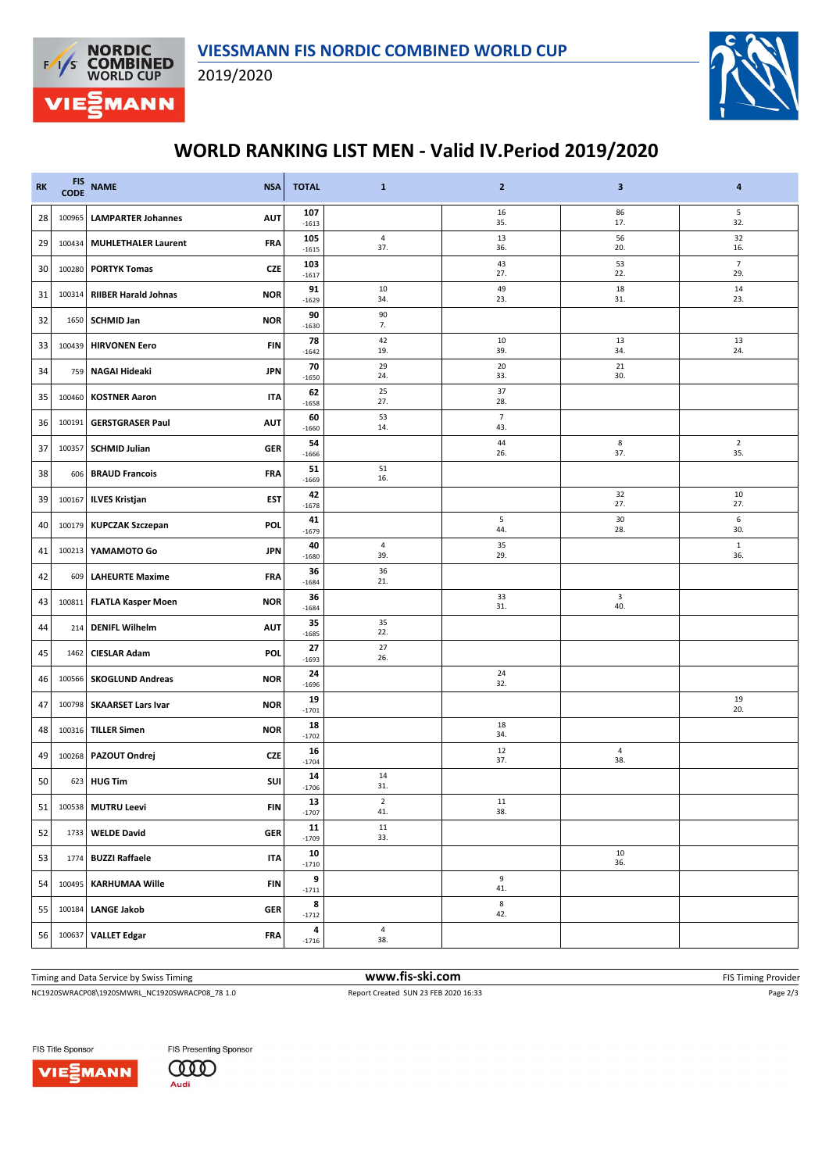



## **WORLD RANKING LIST MEN - Valid IV.Period 2019/2020**

| <b>RK</b> | <b>FIS</b><br><b>CODE</b> | <b>NAME</b><br><b>NSA</b>                 | <b>TOTAL</b>   | $\mathbf{1}$          | $\mathbf{2}$          | 3                 | 4                     |
|-----------|---------------------------|-------------------------------------------|----------------|-----------------------|-----------------------|-------------------|-----------------------|
| 28        | 100965                    | <b>LAMPARTER Johannes</b><br><b>AUT</b>   | 107<br>$-1613$ |                       | 16<br>35.             | 86<br>17.         | 5<br>32.              |
| 29        | 100434                    | <b>MUHLETHALER Laurent</b><br><b>FRA</b>  | 105<br>$-1615$ | $\sqrt{4}$<br>37.     | 13<br>36.             | 56<br>20.         | 32<br>16.             |
| 30        | 100280                    | <b>PORTYK Tomas</b><br><b>CZE</b>         | 103<br>$-1617$ |                       | 43<br>27.             | 53<br>22.         | $\overline{7}$<br>29. |
| 31        | 100314                    | <b>RIIBER Harald Johnas</b><br><b>NOR</b> | 91<br>$-1629$  | 10<br>34.             | 49<br>23.             | 18<br>31.         | 14<br>23.             |
| 32        | 1650                      | <b>SCHMID Jan</b><br><b>NOR</b>           | 90<br>$-1630$  | 90<br>7.              |                       |                   |                       |
| 33        | 100439                    | <b>HIRVONEN Eero</b><br><b>FIN</b>        | 78<br>$-1642$  | 42<br>19.             | 10<br>39.             | 13<br>34.         | 13<br>24.             |
| 34        | 759                       | NAGAI Hideaki<br><b>JPN</b>               | 70<br>$-1650$  | 29<br>24.             | 20<br>33.             | 21<br>30.         |                       |
| 35        | 100460                    | <b>KOSTNER Aaron</b><br><b>ITA</b>        | 62<br>$-1658$  | 25<br>27.             | 37<br>28.             |                   |                       |
| 36        | 100191                    | <b>GERSTGRASER Paul</b><br><b>AUT</b>     | 60<br>$-1660$  | 53<br>14.             | $\overline{7}$<br>43. |                   |                       |
| 37        | 100357                    | <b>SCHMID Julian</b><br><b>GER</b>        | 54<br>$-1666$  |                       | 44<br>26.             | 8<br>37.          | $\overline{2}$<br>35. |
| 38        | 606                       | <b>BRAUD Francois</b><br><b>FRA</b>       | 51<br>$-1669$  | 51<br>16.             |                       |                   |                       |
| 39        | 100167                    | <b>ILVES Kristjan</b><br>EST              | 42<br>$-1678$  |                       |                       | 32<br>27.         | 10<br>27.             |
| 40        | 100179                    | <b>KUPCZAK Szczepan</b><br><b>POL</b>     | 41<br>$-1679$  |                       | 5<br>44.              | 30<br>28.         | 6<br>30.              |
| 41        | 100213                    | YAMAMOTO Go<br><b>JPN</b>                 | 40<br>$-1680$  | 4<br>39.              | 35<br>29.             |                   | $\mathbf{1}$<br>36.   |
| 42        | 609                       | <b>LAHEURTE Maxime</b><br><b>FRA</b>      | 36<br>$-1684$  | 36<br>21.             |                       |                   |                       |
| 43        | 100811                    | <b>FLATLA Kasper Moen</b><br><b>NOR</b>   | 36<br>$-1684$  |                       | 33<br>31.             | 3<br>40.          |                       |
| 44        | 214                       | <b>DENIFL Wilhelm</b><br><b>AUT</b>       | 35<br>$-1685$  | 35<br>22.             |                       |                   |                       |
| 45        | 1462                      | <b>CIESLAR Adam</b><br>POL                | 27<br>$-1693$  | 27<br>26.             |                       |                   |                       |
| 46        | 100566                    | <b>SKOGLUND Andreas</b><br><b>NOR</b>     | 24<br>$-1696$  |                       | 24<br>32.             |                   |                       |
| 47        | 100798                    | <b>SKAARSET Lars Ivar</b><br><b>NOR</b>   | 19<br>$-1701$  |                       |                       |                   | 19<br>20.             |
| 48        | 100316                    | <b>TILLER Simen</b><br><b>NOR</b>         | 18<br>$-1702$  |                       | 18<br>34.             |                   |                       |
| 49        | 100268                    | PAZOUT Ondrej<br><b>CZE</b>               | 16<br>$-1704$  |                       | 12<br>37.             | $\sqrt{4}$<br>38. |                       |
| 50        | 623                       | SUI<br><b>HUG Tim</b>                     | 14<br>$-1706$  | 14<br>31.             |                       |                   |                       |
| 51        |                           | 100538 MUTRU Leevi<br><b>FIN</b>          | 13<br>$-1707$  | 2<br>41.              | 11<br>38.             |                   |                       |
| 52        | 1733                      | <b>WELDE David</b><br><b>GER</b>          | 11<br>$-1709$  | ${\bf 11}$<br>33.     |                       |                   |                       |
| 53        | 1774                      | <b>BUZZI Raffaele</b><br>ITA              | 10<br>$-1710$  |                       |                       | 10<br>36.         |                       |
| 54        | 100495                    | <b>KARHUMAA Wille</b><br><b>FIN</b>       | 9<br>$-1711$   |                       | 9<br>41.              |                   |                       |
| 55        | 100184                    | <b>LANGE Jakob</b><br><b>GER</b>          | 8<br>$-1712$   |                       | 8<br>42.              |                   |                       |
| 56        | 100637                    | <b>VALLET Edgar</b><br><b>FRA</b>         | 4<br>$-1716$   | $\overline{a}$<br>38. |                       |                   |                       |

Timing and Data Service by Swiss Timing **www.fis-ski.com www.fis-ski.com** FIS Timing Provider

NC1920SWRACP08\1920SMWRL\_NC1920SWRACP08\_78 1.0 Report Created SUN 23 FEB 2020 16:33 Page 2/3

FIS Title Sponsor